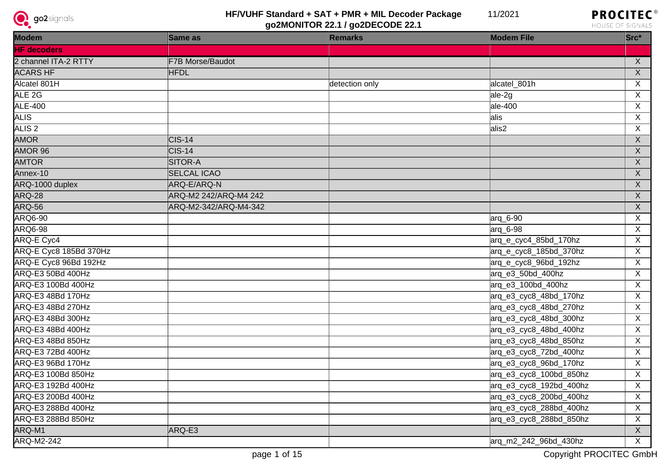



| Modem                     | Same as               | <b>Remarks</b> | <b>Modem File</b>       | $Src^*$        |
|---------------------------|-----------------------|----------------|-------------------------|----------------|
| <b>HF</b> decoders        |                       |                |                         |                |
| 2 channel ITA-2 RTTY      | F7B Morse/Baudot      |                |                         | $\mathsf{X}$   |
| <b>ACARS HF</b>           | <b>HFDL</b>           |                |                         | $\overline{X}$ |
| Alcatel 801H              |                       | detection only | alcatel_801h            | $\overline{X}$ |
| ALE <sub>2G</sub>         |                       |                | ale-2g                  | $\overline{X}$ |
| <b>ALE-400</b>            |                       |                | $ale-400$               | $\overline{X}$ |
| <b>ALIS</b>               |                       |                | alis                    | $\overline{X}$ |
| ALIS <sub>2</sub>         |                       |                | alis2                   | $\overline{X}$ |
| <b>AMOR</b>               | $\textsf{CIS-14}$     |                |                         | $\overline{X}$ |
| AMOR 96                   | $CIS-14$              |                |                         | $\overline{X}$ |
| <b>AMTOR</b>              | <b>SITOR-A</b>        |                |                         | $\overline{X}$ |
| Annex-10                  | <b>SELCAL ICAO</b>    |                |                         | $\overline{X}$ |
| ARQ-1000 duplex           | ARQ-E/ARQ-N           |                |                         | $\overline{X}$ |
| ARQ-28                    | ARQ-M2 242/ARQ-M4 242 |                |                         | $\overline{X}$ |
| ARQ-56                    | ARQ-M2-342/ARQ-M4-342 |                |                         | $\overline{X}$ |
| <b>ARQ6-90</b>            |                       |                | arq_6-90                | $\overline{X}$ |
| ARQ6-98                   |                       |                | $\arctan 6-98$          | $\overline{X}$ |
| <b>ARQ-E Cyc4</b>         |                       |                | arq_e_cyc4_85bd_170hz   | $\overline{X}$ |
| ARQ-E Cyc8 185Bd 370Hz    |                       |                | arq_e_cyc8_185bd_370hz  | $\overline{X}$ |
| ARQ-E Cyc8 96Bd 192Hz     |                       |                | arq_e_cyc8_96bd_192hz   | $\overline{X}$ |
| ARQ-E3 50Bd 400Hz         |                       |                | arq_e3_50bd_400hz       | $\overline{X}$ |
| ARQ-E3 100Bd 400Hz        |                       |                | arq_e3_100bd_400hz      | $\overline{X}$ |
| ARQ-E3 48Bd 170Hz         |                       |                | arq_e3_cyc8_48bd_170hz  | $\overline{X}$ |
| ARQ-E3 48Bd 270Hz         |                       |                | arq_e3_cyc8_48bd_270hz  | $\overline{X}$ |
| ARQ-E3 48Bd 300Hz         |                       |                | arq_e3_cyc8_48bd_300hz  | $\mathsf{X}$   |
| ARQ-E3 48Bd 400Hz         |                       |                | arq_e3_cyc8_48bd_400hz  | $\overline{X}$ |
| ARQ-E3 48Bd 850Hz         |                       |                | arq_e3_cyc8_48bd_850hz  | $\overline{X}$ |
| ARQ-E3 72Bd 400Hz         |                       |                | arq_e3_cyc8_72bd_400hz  | $\overline{X}$ |
| <b>ARQ-E3 96Bd 170Hz</b>  |                       |                | arq_e3_cyc8_96bd_170hz  | $\overline{X}$ |
| <b>ARQ-E3 100Bd 850Hz</b> |                       |                | arq_e3_cyc8_100bd_850hz | X              |
| ARQ-E3 192Bd 400Hz        |                       |                | arq_e3_cyc8_192bd_400hz | $\overline{X}$ |
| ARQ-E3 200Bd 400Hz        |                       |                | arq_e3_cyc8_200bd_400hz | $\mathsf{X}$   |
| ARQ-E3 288Bd 400Hz        |                       |                | arq_e3_cyc8_288bd_400hz | $\overline{X}$ |
| ARQ-E3 288Bd 850Hz        |                       |                | arq_e3_cyc8_288bd_850hz | $\overline{X}$ |
| ARQ-M1                    | ARQ-E3                |                |                         | $\overline{X}$ |
| <b>ARQ-M2-242</b>         |                       |                | arg_m2_242_96bd_430hz   | $\overline{X}$ |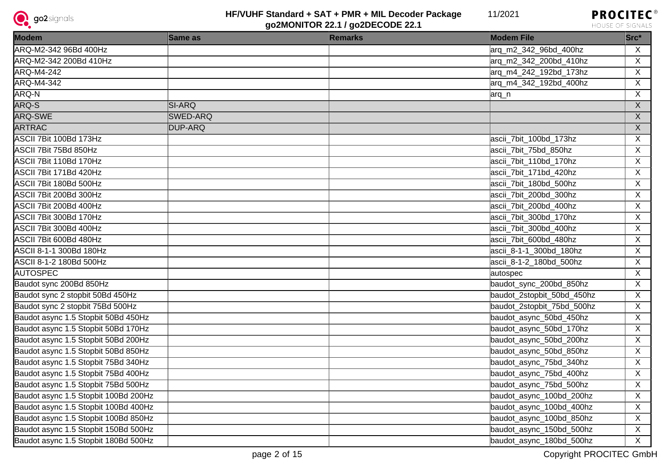

11/2021



| Modem                                | Same as         | <b>Remarks</b> | <b>Modem File</b>          | $Src^*$        |
|--------------------------------------|-----------------|----------------|----------------------------|----------------|
| ARQ-M2-342 96Bd 400Hz                |                 |                | arq_m2_342_96bd_400hz      | X              |
| ARQ-M2-342 200Bd 410Hz               |                 |                | arg_m2_342_200bd_410hz     | $\sf X$        |
| ARQ-M4-242                           |                 |                | arq_m4_242_192bd_173hz     | $\overline{X}$ |
| <b>ARQ-M4-342</b>                    |                 |                | arg_m4_342_192bd_400hz     | $\mathsf{X}$   |
| ARQ-N                                |                 |                | arq_n                      | $\sf X$        |
| ARQ-S                                | <b>SI-ARQ</b>   |                |                            | $\overline{X}$ |
| <b>ARQ-SWE</b>                       | <b>SWED-ARQ</b> |                |                            | $\overline{X}$ |
| <b>ARTRAC</b>                        | DUP-ARQ         |                |                            | $\overline{X}$ |
| ASCII 7Bit 100Bd 173Hz               |                 |                | ascii_7bit_100bd_173hz     | $\overline{X}$ |
| <b>ASCII 7Bit 75Bd 850Hz</b>         |                 |                | ascii_7bit_75bd_850hz      | $\overline{X}$ |
| ASCII 7Bit 110Bd 170Hz               |                 |                | ascii_7bit_110bd_170hz     | $\overline{X}$ |
| ASCII 7Bit 171Bd 420Hz               |                 |                | ascii_7bit_171bd_420hz     | $\overline{X}$ |
| ASCII 7Bit 180Bd 500Hz               |                 |                | ascii_7bit_180bd_500hz     | $\overline{X}$ |
| ASCII 7Bit 200Bd 300Hz               |                 |                | ascii_7bit_200bd_300hz     | $\overline{X}$ |
| ASCII 7Bit 200Bd 400Hz               |                 |                | ascii_7bit_200bd_400hz     | $\overline{X}$ |
| ASCII 7Bit 300Bd 170Hz               |                 |                | ascii_7bit_300bd_170hz     | $\overline{X}$ |
| ASCII 7Bit 300Bd 400Hz               |                 |                | ascii_7bit_300bd_400hz     | $\overline{X}$ |
| ASCII 7Bit 600Bd 480Hz               |                 |                | ascii_7bit_600bd_480hz     | $\overline{X}$ |
| ASCII 8-1-1 300Bd 180Hz              |                 |                | ascii 8-1-1 300bd 180hz    | $\overline{X}$ |
| ASCII 8-1-2 180Bd 500Hz              |                 |                | ascii 8-1-2 180bd 500hz    | $\overline{X}$ |
| <b>AUTOSPEC</b>                      |                 |                | autospec                   | $\overline{X}$ |
| Baudot sync 200Bd 850Hz              |                 |                | baudot_sync_200bd_850hz    | $\overline{X}$ |
| Baudot sync 2 stopbit 50Bd 450Hz     |                 |                | baudot_2stopbit_50bd_450hz | $\overline{X}$ |
| Baudot sync 2 stopbit 75Bd 500Hz     |                 |                | baudot_2stopbit_75bd_500hz | $\mathsf{X}$   |
| Baudot async 1.5 Stopbit 50Bd 450Hz  |                 |                | baudot_async_50bd_450hz    | $\overline{X}$ |
| Baudot async 1.5 Stopbit 50Bd 170Hz  |                 |                | baudot_async_50bd_170hz    | $\overline{X}$ |
| Baudot async 1.5 Stopbit 50Bd 200Hz  |                 |                | baudot_async_50bd_200hz    | $\overline{X}$ |
| Baudot async 1.5 Stopbit 50Bd 850Hz  |                 |                | baudot_async_50bd_850hz    | $\overline{X}$ |
| Baudot async 1.5 Stopbit 75Bd 340Hz  |                 |                | baudot_async_75bd_340hz    | $\overline{X}$ |
| Baudot async 1.5 Stopbit 75Bd 400Hz  |                 |                | baudot_async_75bd_400hz    | $\overline{X}$ |
| Baudot async 1.5 Stopbit 75Bd 500Hz  |                 |                | baudot_async_75bd_500hz    | $\overline{X}$ |
| Baudot async 1.5 Stopbit 100Bd 200Hz |                 |                | baudot_async_100bd_200hz   | X              |
| Baudot async 1.5 Stopbit 100Bd 400Hz |                 |                | baudot_async_100bd_400hz   | $\overline{X}$ |
| Baudot async 1.5 Stopbit 100Bd 850Hz |                 |                | baudot_async_100bd_850hz   | $\overline{X}$ |
| Baudot async 1.5 Stopbit 150Bd 500Hz |                 |                | baudot_async_150bd_500hz   | X              |
| Baudot async 1.5 Stopbit 180Bd 500Hz |                 |                | baudot_async_180bd_500hz   | $\overline{X}$ |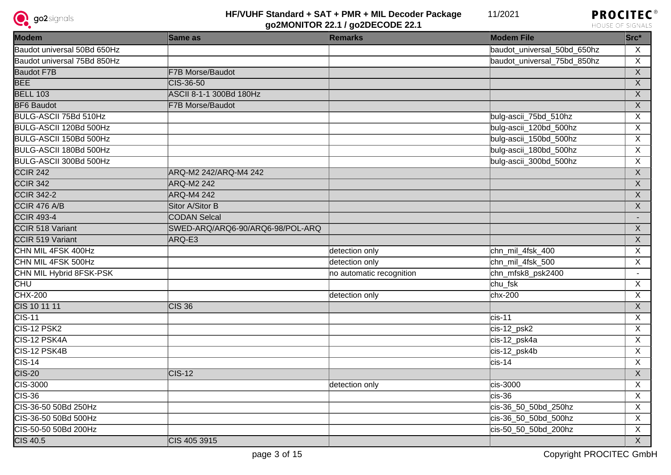



| <b>Modem</b>                | Same as                          | <b>Remarks</b>           | <b>Modem File</b>           | $Src^*$        |
|-----------------------------|----------------------------------|--------------------------|-----------------------------|----------------|
| Baudot universal 50Bd 650Hz |                                  |                          | baudot_universal_50bd_650hz | $\sf X$        |
| Baudot universal 75Bd 850Hz |                                  |                          | baudot universal 75bd 850hz | $\overline{X}$ |
| <b>Baudot F7B</b>           | F7B Morse/Baudot                 |                          |                             | $\overline{X}$ |
| BEE                         | CIS-36-50                        |                          |                             | $\overline{X}$ |
| <b>BELL 103</b>             | <b>ASCII 8-1-1 300Bd 180Hz</b>   |                          |                             | $\overline{X}$ |
| <b>BF6 Baudot</b>           | <b>F7B Morse/Baudot</b>          |                          |                             | $\overline{X}$ |
| BULG-ASCII 75Bd 510Hz       |                                  |                          | bulg-ascii_75bd_510hz       | $\overline{X}$ |
| BULG-ASCII 120Bd 500Hz      |                                  |                          | bulg-ascii_120bd_500hz      | $\overline{X}$ |
| BULG-ASCII 150Bd 500Hz      |                                  |                          | bulg-ascii_150bd_500hz      | $\overline{X}$ |
| BULG-ASCII 180Bd 500Hz      |                                  |                          | bulg-ascii_180bd_500hz      | $\overline{X}$ |
| BULG-ASCII 300Bd 500Hz      |                                  |                          | bulg-ascii_300bd_500hz      | $\overline{X}$ |
| CCIR <sub>242</sub>         | ARQ-M2 242/ARQ-M4 242            |                          |                             | $\overline{X}$ |
| CCIR <sub>342</sub>         | ARQ-M2 242                       |                          |                             | X              |
| <b>CCIR 342-2</b>           | <b>ARQ-M4 242</b>                |                          |                             | $\overline{X}$ |
| CCIR 476 A/B                | Sitor A/Sitor B                  |                          |                             | $\overline{X}$ |
| <b>CCIR 493-4</b>           | <b>CODAN Selcal</b>              |                          |                             |                |
| CCIR 518 Variant            | SWED-ARQ/ARQ6-90/ARQ6-98/POL-ARQ |                          |                             | $\overline{X}$ |
| CCIR 519 Variant            | ARQ-E3                           |                          |                             | $\overline{X}$ |
| CHN MIL 4FSK 400Hz          |                                  | detection only           | chn_mil_4fsk_400            | X              |
| CHN MIL 4FSK 500Hz          |                                  | detection only           | chn_mil_4fsk_500            | $\overline{X}$ |
| CHN MIL Hybrid 8FSK-PSK     |                                  | no automatic recognition | chn_mfsk8_psk2400           | $\sim$         |
| <b>CHU</b>                  |                                  |                          | chu fsk                     | $\overline{X}$ |
| $CHX-200$                   |                                  | detection only           | $chx-200$                   | $\overline{X}$ |
| CIS 10 11 11                | $CIS$ 36                         |                          |                             | $\overline{X}$ |
| $CIS-11$                    |                                  |                          | $cis-11$                    | $\overline{X}$ |
| CIS-12 PSK2                 |                                  |                          | cis-12_psk2                 | $\overline{X}$ |
| CIS-12 PSK4A                |                                  |                          | cis-12_psk4a                | $\overline{X}$ |
| CIS-12 PSK4B                |                                  |                          | cis-12_psk4b                | $\overline{X}$ |
| $CIS-14$                    |                                  |                          | $cis-14$                    | $\overline{X}$ |
| $CIS-20$                    | $CIS-12$                         |                          |                             | $\overline{X}$ |
| <b>CIS-3000</b>             |                                  | detection only           | cis-3000                    | $\overline{X}$ |
| $CIS-36$                    |                                  |                          | $cis-36$                    | $\overline{X}$ |
| CIS-36-50 50Bd 250Hz        |                                  |                          | cis-36_50_50bd_250hz        | $\overline{X}$ |
| CIS-36-50 50Bd 500Hz        |                                  |                          | cis-36_50_50bd_500hz        | $\overline{X}$ |
| CIS-50-50 50Bd 200Hz        |                                  |                          | cis-50 50 50bd 200hz        | $\overline{X}$ |
| <b>CIS 40.5</b>             | CIS 405 3915                     |                          |                             | $\overline{X}$ |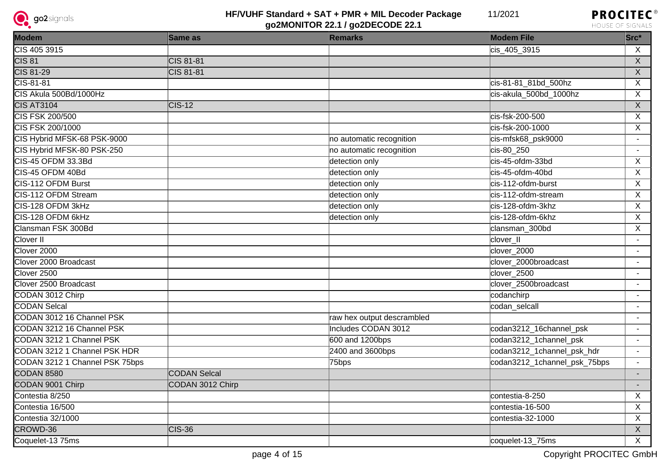



| <b>Modem</b>                   | Same as             | <b>Remarks</b>             | <b>Modem File</b>            | Src*                     |
|--------------------------------|---------------------|----------------------------|------------------------------|--------------------------|
| CIS 405 3915                   |                     |                            | cis_405_3915                 | $\sf X$                  |
| $\overline{\text{CIS } 81}$    | CIS 81-81           |                            |                              | $\overline{X}$           |
| CIS 81-29                      | <b>CIS 81-81</b>    |                            |                              | $\overline{X}$           |
| $CIS-81-81$                    |                     |                            | cis-81-81_81bd_500hz         | $\mathsf{X}$             |
| CIS Akula 500Bd/1000Hz         |                     |                            | cis-akula_500bd_1000hz       | $\overline{X}$           |
| <b>CIS AT3104</b>              | <b>CIS-12</b>       |                            |                              | $\overline{X}$           |
| <b>CIS FSK 200/500</b>         |                     |                            | cis-fsk-200-500              | $\overline{X}$           |
| CIS FSK 200/1000               |                     |                            | cis-fsk-200-1000             | $\overline{X}$           |
| CIS Hybrid MFSK-68 PSK-9000    |                     | no automatic recognition   | cis-mfsk68_psk9000           | $\blacksquare$           |
| CIS Hybrid MFSK-80 PSK-250     |                     | no automatic recognition   | cis-80_250                   | $\overline{\phantom{a}}$ |
| CIS-45 OFDM 33.3Bd             |                     | detection only             | cis-45-ofdm-33bd             | X                        |
| CIS-45 OFDM 40Bd               |                     | detection only             | cis-45-ofdm-40bd             | $\sf X$                  |
| CIS-112 OFDM Burst             |                     | detection only             | cis-112-ofdm-burst           | X                        |
| CIS-112 OFDM Stream            |                     | detection only             | cis-112-ofdm-stream          | $\mathsf{X}$             |
| CIS-128 OFDM 3kHz              |                     | detection only             | cis-128-ofdm-3khz            | $\overline{X}$           |
| CIS-128 OFDM 6kHz              |                     | detection only             | cis-128-ofdm-6khz            | X                        |
| Clansman FSK 300Bd             |                     |                            | clansman_300bd               | $\overline{X}$           |
| <b>Clover II</b>               |                     |                            | clover_II                    | $\blacksquare$           |
| Clover 2000                    |                     |                            | clover 2000                  | $\sim$                   |
| Clover 2000 Broadcast          |                     |                            | clover 2000broadcast         | $\blacksquare$           |
| Clover <sub>2500</sub>         |                     |                            | clover_2500                  | $\blacksquare$           |
| Clover 2500 Broadcast          |                     |                            | clover 2500broadcast         | $\sim$                   |
| CODAN 3012 Chirp               |                     |                            | codanchirp                   | $\blacksquare$           |
| <b>CODAN Selcal</b>            |                     |                            | codan selcall                | $\blacksquare$           |
| CODAN 3012 16 Channel PSK      |                     | raw hex output descrambled |                              | $\blacksquare$           |
| CODAN 3212 16 Channel PSK      |                     | Includes CODAN 3012        | codan3212_16channel_psk      | $\blacksquare$           |
| CODAN 3212 1 Channel PSK       |                     | 600 and 1200bps            | codan3212_1channel_psk       | $\blacksquare$           |
| CODAN 3212 1 Channel PSK HDR   |                     | 2400 and 3600bps           | codan3212_1channel_psk_hdr   | $\blacksquare$           |
| CODAN 3212 1 Channel PSK 75bps |                     | 75bps                      | codan3212_1channel_psk_75bps | $\blacksquare$           |
| <b>CODAN 8580</b>              | <b>CODAN Selcal</b> |                            |                              | $\blacksquare$           |
| CODAN 9001 Chirp               | CODAN 3012 Chirp    |                            |                              | $\blacksquare$           |
| Contestia 8/250                |                     |                            | contestia-8-250              | X                        |
| Contestia 16/500               |                     |                            | contestia-16-500             | $\mathsf{X}$             |
| Contestia 32/1000              |                     |                            | contestia-32-1000            | X                        |
| CROWD-36                       | $CIS-36$            |                            |                              | $\overline{X}$           |
| Coquelet-13 75ms               |                     |                            | coquelet-13_75ms             | $\overline{X}$           |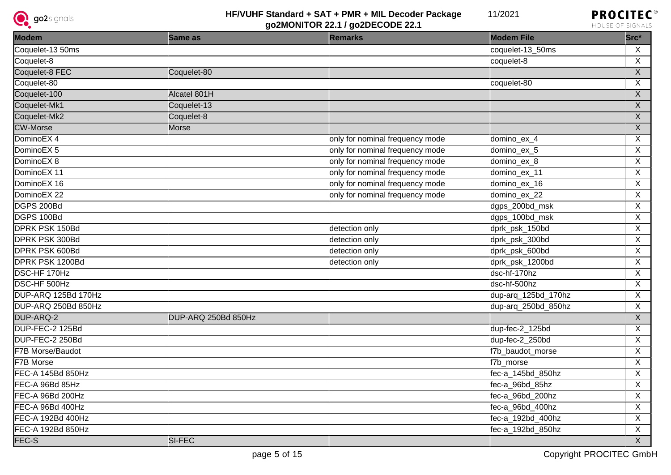



| <b>Modem</b>             | Same as             | <b>Remarks</b>                  | <b>Modem File</b>   | Src*           |
|--------------------------|---------------------|---------------------------------|---------------------|----------------|
| Coquelet-13 50ms         |                     |                                 | coquelet-13_50ms    | $\mathsf{X}$   |
| Coquelet-8               |                     |                                 | coquelet-8          | X              |
| Coquelet-8 FEC           | Coquelet-80         |                                 |                     | $\overline{X}$ |
| Coquelet-80              |                     |                                 | coquelet-80         | X              |
| Coquelet-100             | Alcatel 801H        |                                 |                     | X              |
| Coquelet-Mk1             | Coquelet-13         |                                 |                     | X              |
| Coquelet-Mk2             | Coquelet-8          |                                 |                     | $\mathsf{X}$   |
| <b>CW-Morse</b>          | Morse               |                                 |                     | $\overline{X}$ |
| DominoEX 4               |                     | only for nominal frequency mode | domino_ex_4         | X              |
| DominoEX <sub>5</sub>    |                     | only for nominal frequency mode | domino_ex_5         | X              |
| DominoEX <sub>8</sub>    |                     | only for nominal frequency mode | domino_ex_8         | X              |
| DominoEX 11              |                     | only for nominal frequency mode | domino_ex_11        | $\overline{X}$ |
| DominoEX 16              |                     | only for nominal frequency mode | domino_ex_16        | $\overline{X}$ |
| DominoEX <sub>22</sub>   |                     | only for nominal frequency mode | domino_ex_22        | $\overline{X}$ |
| DGPS 200Bd               |                     |                                 | dgps_200bd_msk      | X              |
| DGPS 100Bd               |                     |                                 | dgps_100bd_msk      | X              |
| <b>DPRK PSK 150Bd</b>    |                     | detection only                  | dprk_psk_150bd      | $\overline{X}$ |
| <b>DPRK PSK 300Bd</b>    |                     | detection only                  | dprk_psk_300bd      | $\overline{X}$ |
| <b>DPRK PSK 600Bd</b>    |                     | detection only                  | dprk_psk_600bd      | X              |
| <b>DPRK PSK 1200Bd</b>   |                     | detection only                  | dprk_psk_1200bd     | X              |
| DSC-HF 170Hz             |                     |                                 | dsc-hf-170hz        | X              |
| <b>DSC-HF 500Hz</b>      |                     |                                 | dsc-hf-500hz        | $\overline{X}$ |
| DUP-ARQ 125Bd 170Hz      |                     |                                 | dup-arq_125bd_170hz | X              |
| DUP-ARQ 250Bd 850Hz      |                     |                                 | dup-arq_250bd_850hz | $\pmb{\times}$ |
| DUP-ARQ-2                | DUP-ARQ 250Bd 850Hz |                                 |                     | $\overline{X}$ |
| DUP-FEC-2 125Bd          |                     |                                 | dup-fec-2_125bd     | $\overline{X}$ |
| DUP-FEC-2 250Bd          |                     |                                 | dup-fec-2_250bd     | $\overline{X}$ |
| F7B Morse/Baudot         |                     |                                 | f7b_baudot_morse    | X              |
| <b>F7B Morse</b>         |                     |                                 | f7b morse           | $\overline{X}$ |
| <b>FEC-A 145Bd 850Hz</b> |                     |                                 | fec-a_145bd_850hz   | $\overline{X}$ |
| FEC-A 96Bd 85Hz          |                     |                                 | fec-a_96bd_85hz     | $\overline{X}$ |
| FEC-A 96Bd 200Hz         |                     |                                 | fec-a_96bd_200hz    | $\overline{X}$ |
| FEC-A 96Bd 400Hz         |                     |                                 | fec-a_96bd_400hz    | $\overline{X}$ |
| FEC-A 192Bd 400Hz        |                     |                                 | fec-a_192bd_400hz   | $\overline{X}$ |
| FEC-A 192Bd 850Hz        |                     |                                 | fec-a_192bd_850hz   | $\overline{X}$ |
| FEC-S                    | SI-FEC              |                                 |                     | $\overline{X}$ |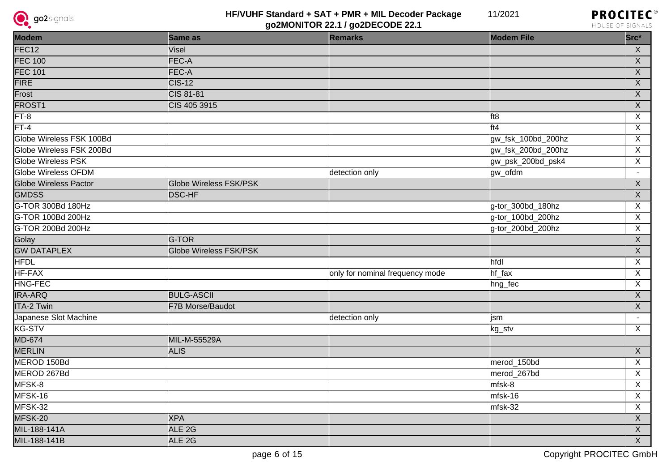



| <b>Modem</b>                 | Same as                | <b>Remarks</b>                  | <b>Modem File</b>  | Src*                    |
|------------------------------|------------------------|---------------------------------|--------------------|-------------------------|
| FEC <sub>12</sub>            | Visel                  |                                 |                    | $\overline{X}$          |
| <b>FEC 100</b>               | FEC-A                  |                                 |                    | $\overline{X}$          |
| <b>FEC 101</b>               | FEC-A                  |                                 |                    | $\overline{\mathsf{x}}$ |
| <b>FIRE</b>                  | $\overline{CIS-12}$    |                                 |                    | $\overline{X}$          |
| Frost                        | CIS 81-81              |                                 |                    | $\overline{X}$          |
| <b>FROST1</b>                | CIS 405 3915           |                                 |                    | $\overline{X}$          |
| $FT-8$                       |                        |                                 | ft8                | $\overline{X}$          |
| $\overline{FT-4}$            |                        |                                 | ft4                | $\overline{X}$          |
| Globe Wireless FSK 100Bd     |                        |                                 | gw_fsk_100bd_200hz | X                       |
| Globe Wireless FSK 200Bd     |                        |                                 | gw_fsk_200bd_200hz | $\mathsf{X}$            |
| <b>Globe Wireless PSK</b>    |                        |                                 | gw_psk_200bd_psk4  | $\overline{X}$          |
| <b>Globe Wireless OFDM</b>   |                        | detection only                  | gw_ofdm            | $\blacksquare$          |
| <b>Globe Wireless Pactor</b> | Globe Wireless FSK/PSK |                                 |                    | $\mathsf X$             |
| <b>GMDSS</b>                 | <b>DSC-HF</b>          |                                 |                    | $\overline{X}$          |
| G-TOR 300Bd 180Hz            |                        |                                 | g-tor_300bd_180hz  | X                       |
| G-TOR 100Bd 200Hz            |                        |                                 | g-tor_100bd_200hz  | X                       |
| G-TOR 200Bd 200Hz            |                        |                                 | g-tor_200bd_200hz  | X                       |
| Golay                        | G-TOR                  |                                 |                    | $\overline{X}$          |
| <b>GW DATAPLEX</b>           | Globe Wireless FSK/PSK |                                 |                    | $\overline{X}$          |
| <b>HFDL</b>                  |                        |                                 | hfdl               | $\overline{X}$          |
| HF-FAX                       |                        | only for nominal frequency mode | hf_fax             | $\overline{X}$          |
| HNG-FEC                      |                        |                                 | hng_fec            | $\overline{\mathsf{x}}$ |
| <b>IRA-ARQ</b>               | <b>BULG-ASCII</b>      |                                 |                    | $\overline{\mathsf{x}}$ |
| <b>ITA-2 Twin</b>            | F7B Morse/Baudot       |                                 |                    | $\overline{X}$          |
| Japanese Slot Machine        |                        | detection only                  | jsm                | $\sim$                  |
| KG-STV                       |                        |                                 | kg_stv             | X                       |
| MD-674                       | MIL-M-55529A           |                                 |                    |                         |
| MERLIN                       | <b>ALIS</b>            |                                 |                    | $\overline{X}$          |
| MEROD 150Bd                  |                        |                                 | merod_150bd        | $\overline{X}$          |
| MEROD 267Bd                  |                        |                                 | merod_267bd        | X                       |
| MFSK-8                       |                        |                                 | mfsk-8             | X                       |
| MFSK-16                      |                        |                                 | $mfsk-16$          | X                       |
| MFSK-32                      |                        |                                 | $mfsk-32$          | $\pmb{\times}$          |
| MFSK-20                      | <b>XPA</b>             |                                 |                    | $\mathsf X$             |
| MIL-188-141A                 | ALE <sub>2G</sub>      |                                 |                    | $\overline{X}$          |
| MIL-188-141B                 | ALE <sub>2G</sub>      |                                 |                    | $\overline{X}$          |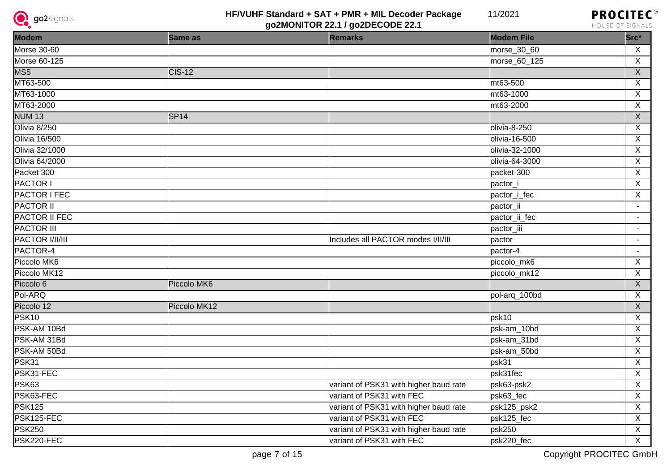



| <b>Modem</b>         | Same as      | <b>Remarks</b>                         | <b>Modem File</b> | $Src^*$                 |
|----------------------|--------------|----------------------------------------|-------------------|-------------------------|
| <b>Morse 30-60</b>   |              |                                        | morse_30_60       | $\mathsf{X}$            |
| Morse 60-125         |              |                                        | morse_60_125      | $\overline{X}$          |
| MSS                  | $CIS-12$     |                                        |                   | $\overline{X}$          |
| MT63-500             |              |                                        | mt63-500          | $\overline{X}$          |
| MT63-1000            |              |                                        | mt63-1000         | $\overline{X}$          |
| MT63-2000            |              |                                        | mt63-2000         | $\overline{\mathsf{x}}$ |
| <b>NUM 13</b>        | SPI4         |                                        |                   | $\overline{X}$          |
| Olivia 8/250         |              |                                        | olivia-8-250      | $\overline{\mathsf{x}}$ |
| <b>Olivia 16/500</b> |              |                                        | olivia-16-500     | $\overline{X}$          |
| Olivia 32/1000       |              |                                        | olivia-32-1000    | $\overline{X}$          |
| Olivia 64/2000       |              |                                        | olivia-64-3000    | $\overline{X}$          |
| Packet 300           |              |                                        | packet-300        | $\overline{X}$          |
| <b>PACTOR I</b>      |              |                                        | pactor_i          | $\overline{X}$          |
| <b>PACTOR I FEC</b>  |              |                                        | pactor_i_fec      | $\overline{X}$          |
| <b>PACTOR II</b>     |              |                                        | pactor_ii         | $\blacksquare$          |
| <b>PACTOR II FEC</b> |              |                                        | pactor_ii_fec     | $\blacksquare$          |
| <b>PACTOR III</b>    |              |                                        | pactor_iii        | $\blacksquare$          |
| PACTOR I/II/III      |              | Includes all PACTOR modes I/II/III     | pactor            | $\blacksquare$          |
| PACTOR-4             |              |                                        | pactor-4          | $\blacksquare$          |
| Piccolo MK6          |              |                                        | piccolo_mk6       | $\overline{X}$          |
| Piccolo MK12         |              |                                        | piccolo_mk12      | $\overline{X}$          |
| Piccolo 6            | Piccolo MK6  |                                        |                   | $\overline{X}$          |
| Pol-ARQ              |              |                                        | pol-arq_100bd     | $\overline{\mathsf{x}}$ |
| Piccolo 12           | Piccolo MK12 |                                        |                   | $\overline{X}$          |
| PSK10                |              |                                        | psk10             | $\overline{X}$          |
| PSK-AM 10Bd          |              |                                        | psk-am_10bd       | $\overline{\mathsf{x}}$ |
| PSK-AM 31Bd          |              |                                        | psk-am_31bd       | $\overline{X}$          |
| PSK-AM 50Bd          |              |                                        | psk-am_50bd       | $\overline{\mathsf{x}}$ |
| PSK31                |              |                                        | psk31             | $\overline{\mathsf{x}}$ |
| PSK31-FEC            |              |                                        | psk31fec          | $\overline{X}$          |
| PSK63                |              | variant of PSK31 with higher baud rate | psk63-psk2        | $\overline{X}$          |
| PSK63-FEC            |              | variant of PSK31 with FEC              | psk63_fec         | $\overline{\mathsf{x}}$ |
| <b>PSK125</b>        |              | variant of PSK31 with higher baud rate | psk125_psk2       | $\overline{X}$          |
| PSK125-FEC           |              | variant of PSK31 with FEC              | psk125_fec        | $\overline{x}$          |
| <b>PSK250</b>        |              | variant of PSK31 with higher baud rate | psk250            | $\overline{\mathsf{x}}$ |
| PSK220-FEC           |              | variant of PSK31 with FEC              | psk220_fec        | $\overline{X}$          |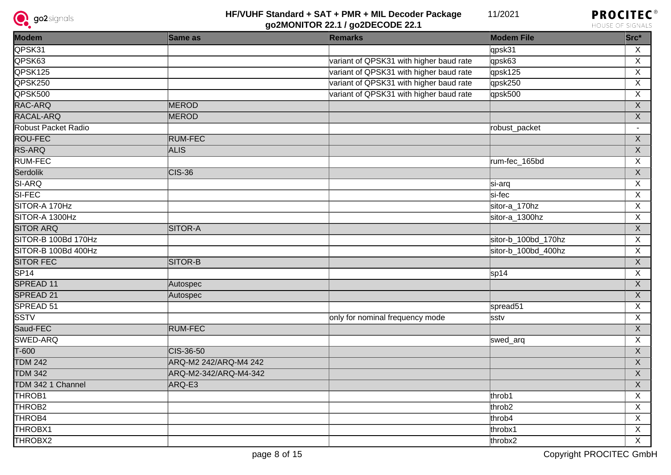



| Modem               | Same as               | <b>Remarks</b>                          | <b>Modem File</b>   | Src*                      |
|---------------------|-----------------------|-----------------------------------------|---------------------|---------------------------|
| QPSK31              |                       |                                         | qpsk31              | X                         |
| QPSK63              |                       | variant of QPSK31 with higher baud rate | qpsk63              | $\overline{X}$            |
| QPSK125             |                       | variant of QPSK31 with higher baud rate | qpsk125             | X                         |
| QPSK250             |                       | variant of QPSK31 with higher baud rate | qpsk250             | X                         |
| QPSK500             |                       | variant of QPSK31 with higher baud rate | qpsk500             | $\overline{X}$            |
| RAC-ARQ             | <b>MEROD</b>          |                                         |                     | $\boldsymbol{\mathsf{X}}$ |
| RACAL-ARQ           | <b>MEROD</b>          |                                         |                     | $\mathsf X$               |
| Robust Packet Radio |                       |                                         | robust_packet       | $\blacksquare$            |
| <b>ROU-FEC</b>      | <b>RUM-FEC</b>        |                                         |                     | $\overline{X}$            |
| RS-ARQ              | <b>ALIS</b>           |                                         |                     | $\mathsf X$               |
| <b>RUM-FEC</b>      |                       |                                         | rum-fec_165bd       | X                         |
| Serdolik            | $CIS-36$              |                                         |                     | $\boldsymbol{\mathsf{X}}$ |
| SI-ARQ              |                       |                                         | si-arq              | X                         |
| SI-FEC              |                       |                                         | si-fec              | $\overline{X}$            |
| SITOR-A 170Hz       |                       |                                         | sitor-a_170hz       | X                         |
| SITOR-A 1300Hz      |                       |                                         | sitor-a_1300hz      | X                         |
| <b>SITOR ARQ</b>    | <b>SITOR-A</b>        |                                         |                     | $\overline{X}$            |
| SITOR-B 100Bd 170Hz |                       |                                         | sitor-b_100bd_170hz | X                         |
| SITOR-B 100Bd 400Hz |                       |                                         | sitor-b_100bd_400hz | X                         |
| <b>SITOR FEC</b>    | SITOR-B               |                                         |                     | $\overline{X}$            |
| SPI4                |                       |                                         | sp14                | X                         |
| SPREAD 11           | Autospec              |                                         |                     | $\mathsf X$               |
| SPREAD 21           | Autospec              |                                         |                     | $\overline{X}$            |
| SPREAD 51           |                       |                                         | spread51            | X                         |
| <b>SSTV</b>         |                       | only for nominal frequency mode         | sstv                | X                         |
| Saud-FEC            | <b>RUM-FEC</b>        |                                         |                     | $\overline{X}$            |
| <b>SWED-ARQ</b>     |                       |                                         | swed_arq            | X                         |
| $T-600$             | CIS-36-50             |                                         |                     | $\mathsf{X}$              |
| <b>TDM 242</b>      | ARQ-M2 242/ARQ-M4 242 |                                         |                     | $\overline{X}$            |
| <b>TDM 342</b>      | ARQ-M2-342/ARQ-M4-342 |                                         |                     | $\mathsf X$               |
| TDM 342 1 Channel   | ARQ-E3                |                                         |                     | $\overline{X}$            |
| THROB <sub>1</sub>  |                       |                                         | throb1              | $\overline{X}$            |
| THROB <sub>2</sub>  |                       |                                         | throb <sub>2</sub>  | $\overline{X}$            |
| THROB4              |                       |                                         | throb4              | X                         |
| THROBX1             |                       |                                         | throbx1             | $\mathsf{X}$              |
| THROBX2             |                       |                                         | throbx2             | $\mathsf{X}$              |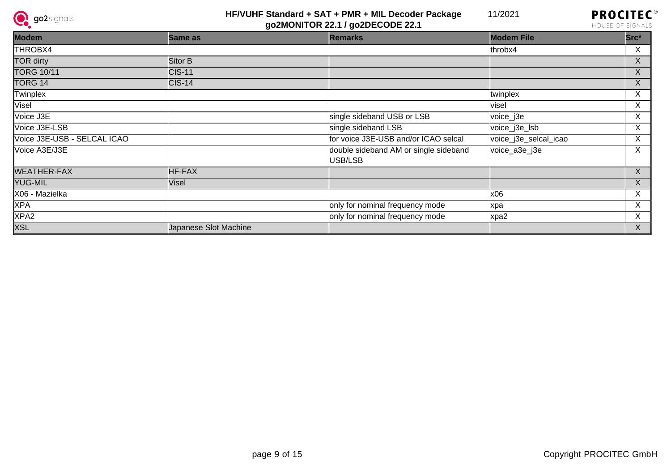



| Modem                       | Same as               | <b>Remarks</b>                                   | <b>Modem File</b>     | $Src^*$      |
|-----------------------------|-----------------------|--------------------------------------------------|-----------------------|--------------|
| THROBX4                     |                       |                                                  | throbx4               | X            |
| TOR dirty                   | Sitor B               |                                                  |                       | X.           |
| <b>TORG 10/11</b>           | $CIS-11$              |                                                  |                       | $\mathsf{X}$ |
| TORG 14                     | $\textsf{CIS-14}$     |                                                  |                       | X.           |
| Twinplex                    |                       |                                                  | twinplex              | X            |
| <b>Visel</b>                |                       |                                                  | visel                 | X            |
| Voice J3E                   |                       | single sideband USB or LSB                       | voice_j3e             | X            |
| Voice J3E-LSB               |                       | single sideband LSB                              | voice_j3e_lsb         | X            |
| Voice J3E-USB - SELCAL ICAO |                       | for voice J3E-USB and/or ICAO selcal             | voice_j3e_selcal_icao | X            |
| Voice A3E/J3E               |                       | double sideband AM or single sideband<br>USB/LSB | voice_a3e_j3e         | X            |
| <b>WEATHER-FAX</b>          | HF-FAX                |                                                  |                       | X            |
| YUG-MIL                     | Visel                 |                                                  |                       | X            |
| X06 - Mazielka              |                       |                                                  | x06                   | X            |
| <b>XPA</b>                  |                       | only for nominal frequency mode                  | xpa                   | X.           |
| XPA <sub>2</sub>            |                       | only for nominal frequency mode                  | xpa2                  | X            |
| <b>XSL</b>                  | Japanese Slot Machine |                                                  |                       | X            |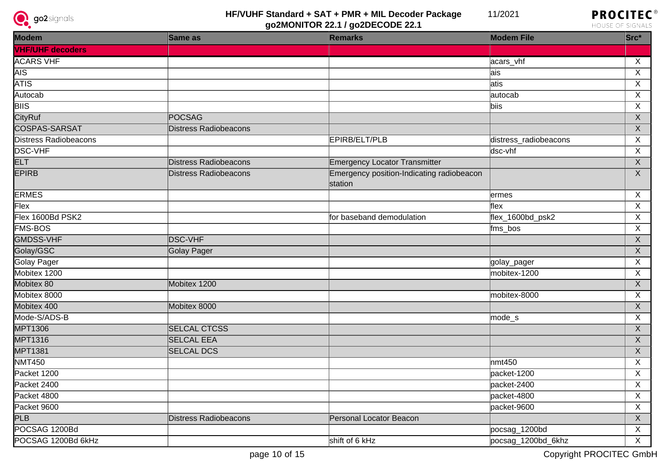



| <b>Modem</b>                 | Same as                      | <b>Remarks</b>                                       | <b>Modem File</b>     | $Src*$                  |
|------------------------------|------------------------------|------------------------------------------------------|-----------------------|-------------------------|
| <b>VHF/UHF decoders</b>      |                              |                                                      |                       |                         |
| <b>ACARS VHF</b>             |                              |                                                      | acars_vhf             | X                       |
| <b>AIS</b>                   |                              |                                                      | ais                   | $\overline{\mathsf{x}}$ |
| <b>ATIS</b>                  |                              |                                                      | atis                  | $\overline{\mathsf{x}}$ |
| Autocab                      |                              |                                                      | autocab               | $\overline{X}$          |
| $\overline{B}$ IIS           |                              |                                                      | biis                  | $\overline{\mathsf{x}}$ |
| <b>CityRuf</b>               | POCSAG                       |                                                      |                       | $\overline{X}$          |
| <b>COSPAS-SARSAT</b>         | <b>Distress Radiobeacons</b> |                                                      |                       | $\overline{X}$          |
| <b>Distress Radiobeacons</b> |                              | EPIRB/ELT/PLB                                        | distress_radiobeacons | $\pmb{\times}$          |
| <b>DSC-VHF</b>               |                              |                                                      | dsc-vhf               | X                       |
| <b>ELT</b>                   | Distress Radiobeacons        | <b>Emergency Locator Transmitter</b>                 |                       | $\overline{X}$          |
| <b>EPIRB</b>                 | <b>Distress Radiobeacons</b> | Emergency position-Indicating radiobeacon<br>station |                       | $\overline{X}$          |
| <b>ERMES</b>                 |                              |                                                      | ermes                 | X                       |
| Flex                         |                              |                                                      | flex                  | $\overline{\mathsf{x}}$ |
| Flex 1600Bd PSK2             |                              | for baseband demodulation                            | flex_1600bd_psk2      | $\mathsf X$             |
| <b>FMS-BOS</b>               |                              |                                                      | fms_bos               | $\overline{X}$          |
| <b>GMDSS-VHF</b>             | <b>DSC-VHF</b>               |                                                      |                       | $\overline{X}$          |
| Golay/GSC                    | Golay Pager                  |                                                      |                       | $\overline{X}$          |
| <b>Golay Pager</b>           |                              |                                                      | golay_pager           | $\overline{\mathsf{x}}$ |
| Mobitex 1200                 |                              |                                                      | mobitex-1200          | $\overline{\mathsf{x}}$ |
| Mobitex 80                   | Mobitex 1200                 |                                                      |                       | $\overline{X}$          |
| Mobitex 8000                 |                              |                                                      | mobitex-8000          | $\overline{X}$          |
| Mobitex 400                  | Mobitex 8000                 |                                                      |                       | $\overline{X}$          |
| Mode-S/ADS-B                 |                              |                                                      | mode_s                | $\overline{\mathsf{X}}$ |
| <b>MPT1306</b>               | <b>SELCAL CTCSS</b>          |                                                      |                       | $\mathsf X$             |
| <b>MPT1316</b>               | <b>SELCAL EEA</b>            |                                                      |                       | $\mathsf X$             |
| <b>MPT1381</b>               | <b>SELCAL DCS</b>            |                                                      |                       | $\overline{\mathsf{X}}$ |
| <b>NMT450</b>                |                              |                                                      | m <sub>1450</sub>     | $\overline{X}$          |
| Packet 1200                  |                              |                                                      | packet-1200           | $\overline{X}$          |
| Packet 2400                  |                              |                                                      | packet-2400           | X                       |
| Packet 4800                  |                              |                                                      | packet-4800           | X                       |
| Packet 9600                  |                              |                                                      | packet-9600           | X                       |
| PLB                          | Distress Radiobeacons        | Personal Locator Beacon                              |                       | X                       |
| POCSAG 1200Bd                |                              |                                                      | pocsag_1200bd         | X                       |
| POCSAG 1200Bd 6kHz           |                              | shift of 6 kHz                                       | pocsag_1200bd_6khz    | X                       |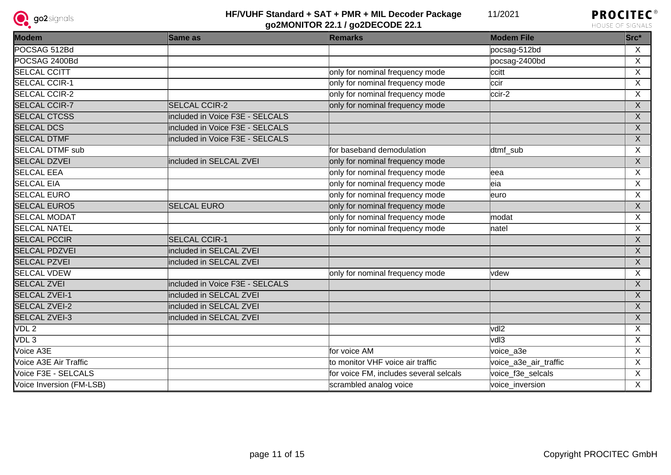



| Modem                    | <b>Same as</b>                  | <b>Remarks</b>                         | <b>Modem File</b>     | Src*                      |
|--------------------------|---------------------------------|----------------------------------------|-----------------------|---------------------------|
| POCSAG 512Bd             |                                 |                                        | pocsag-512bd          | X                         |
| POCSAG 2400Bd            |                                 |                                        | pocsag-2400bd         | X                         |
| <b>SELCAL CCITT</b>      |                                 | only for nominal frequency mode        | ccitt                 | X                         |
| <b>SELCAL CCIR-1</b>     |                                 | only for nominal frequency mode        | ccir                  | X                         |
| <b>SELCAL CCIR-2</b>     |                                 | only for nominal frequency mode        | ccir-2                | X                         |
| <b>SELCAL CCIR-7</b>     | <b>SELCAL CCIR-2</b>            | only for nominal frequency mode        |                       | $\boldsymbol{\mathsf{X}}$ |
| <b>SELCAL CTCSS</b>      | included in Voice F3E - SELCALS |                                        |                       | $\boldsymbol{X}$          |
| <b>SELCAL DCS</b>        | included in Voice F3E - SELCALS |                                        |                       | X                         |
| <b>SELCAL DTMF</b>       | included in Voice F3E - SELCALS |                                        |                       | $\overline{X}$            |
| <b>SELCAL DTMF sub</b>   |                                 | for baseband demodulation              | dtmf sub              | X                         |
| <b>SELCAL DZVEI</b>      | included in SELCAL ZVEI         | only for nominal frequency mode        |                       | $\mathsf{X}$              |
| <b>SELCAL EEA</b>        |                                 | only for nominal frequency mode        | leea                  | X                         |
| <b>SELCAL EIA</b>        |                                 | only for nominal frequency mode        | leia                  | X                         |
| <b>SELCAL EURO</b>       |                                 | only for nominal frequency mode        | leuro                 | X                         |
| <b>SELCAL EURO5</b>      | <b>SELCAL EURO</b>              | only for nominal frequency mode        |                       | $\boldsymbol{\mathsf{X}}$ |
| <b>SELCAL MODAT</b>      |                                 | only for nominal frequency mode        | modat                 | X                         |
| <b>SELCAL NATEL</b>      |                                 | only for nominal frequency mode        | natel                 | $\overline{\mathsf{x}}$   |
| <b>SELCAL PCCIR</b>      | <b>SELCAL CCIR-1</b>            |                                        |                       | $\boldsymbol{X}$          |
| <b>SELCAL PDZVEI</b>     | included in SELCAL ZVEI         |                                        |                       | $\boldsymbol{X}$          |
| <b>SELCAL PZVEI</b>      | included in SELCAL ZVEI         |                                        |                       | $\boldsymbol{\mathsf{X}}$ |
| <b>SELCAL VDEW</b>       |                                 | only for nominal frequency mode        | lvdew                 | X                         |
| <b>SELCAL ZVEI</b>       | included in Voice F3E - SELCALS |                                        |                       | $\overline{\mathsf{X}}$   |
| <b>SELCAL ZVEI-1</b>     | included in SELCAL ZVEI         |                                        |                       | $\boldsymbol{\mathsf{X}}$ |
| <b>SELCAL ZVEI-2</b>     | included in SELCAL ZVEI         |                                        |                       | $\mathsf{X}$              |
| <b>SELCAL ZVEI-3</b>     | included in SELCAL ZVEI         |                                        |                       | $\overline{X}$            |
| VDL2                     |                                 |                                        | vdl2                  | X                         |
| VDL3                     |                                 |                                        | vdl3                  | X                         |
| Voice A3E                |                                 | for voice AM                           | voice a3e             | $\overline{\mathsf{x}}$   |
| Voice A3E Air Traffic    |                                 | to monitor VHF voice air traffic       | voice_a3e_air_traffic | X                         |
| Voice F3E - SELCALS      |                                 | for voice FM, includes several selcals | voice_f3e_selcals     | X                         |
| Voice Inversion (FM-LSB) |                                 | scrambled analog voice                 | voice_inversion       | X                         |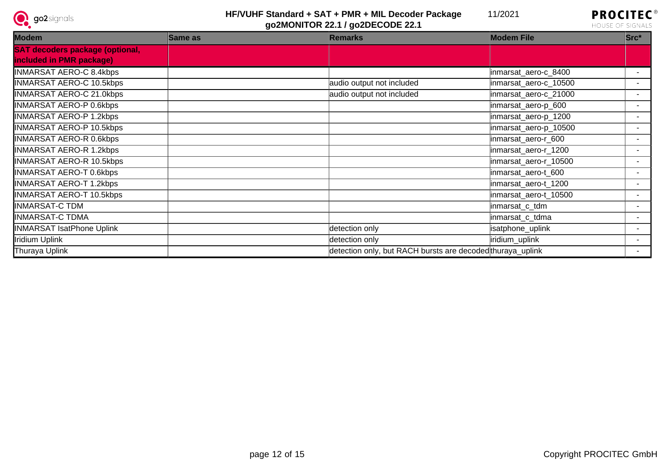



| Modem                                  | Same as | <b>Remarks</b>                                             | <b>Modem File</b>     | $Src^*$ |
|----------------------------------------|---------|------------------------------------------------------------|-----------------------|---------|
| <b>SAT decoders package (optional,</b> |         |                                                            |                       |         |
| included in PMR package)               |         |                                                            |                       |         |
| INMARSAT AERO-C 8.4kbps                |         |                                                            | inmarsat_aero-c_8400  |         |
| <b>INMARSAT AERO-C 10.5kbps</b>        |         | audio output not included                                  | inmarsat_aero-c_10500 |         |
| <b>INMARSAT AERO-C 21.0kbps</b>        |         | audio output not included                                  | inmarsat_aero-c_21000 |         |
| INMARSAT AERO-P 0.6kbps                |         |                                                            | inmarsat_aero-p_600   |         |
| <b>INMARSAT AERO-P 1.2kbps</b>         |         |                                                            | inmarsat_aero-p_1200  |         |
| <b>INMARSAT AERO-P 10.5kbps</b>        |         |                                                            | inmarsat_aero-p_10500 |         |
| INMARSAT AERO-R 0.6kbps                |         |                                                            | inmarsat aero-r 600   |         |
| INMARSAT AERO-R 1.2kbps                |         |                                                            | inmarsat_aero-r_1200  |         |
| <b>INMARSAT AERO-R 10.5kbps</b>        |         |                                                            | inmarsat_aero-r_10500 |         |
| <b>INMARSAT AERO-T 0.6kbps</b>         |         |                                                            | inmarsat_aero-t_600   |         |
| INMARSAT AERO-T 1.2kbps                |         |                                                            | inmarsat_aero-t_1200  |         |
| <b>INMARSAT AERO-T 10.5kbps</b>        |         |                                                            | inmarsat_aero-t_10500 |         |
| INMARSAT-C TDM                         |         |                                                            | inmarsat_c_tdm        |         |
| INMARSAT-C TDMA                        |         |                                                            | inmarsat_c_tdma       |         |
| <b>INMARSAT IsatPhone Uplink</b>       |         | detection only                                             | isatphone_uplink      |         |
| Iridium Uplink                         |         | detection only                                             | iridium_uplink        |         |
| Thuraya Uplink                         |         | detection only, but RACH bursts are decoded thuraya_uplink |                       |         |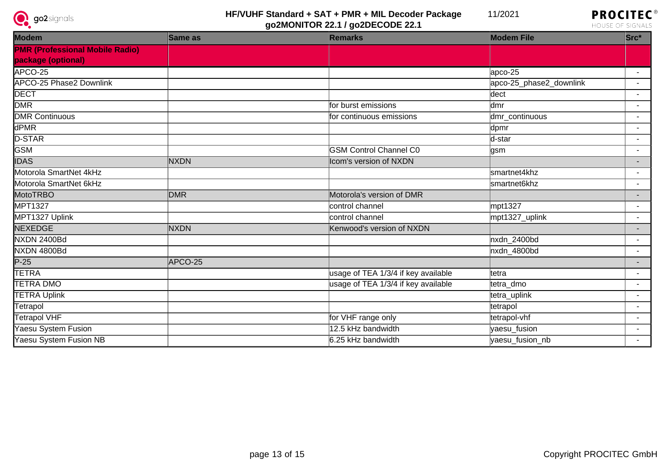



| Modem                                  | Same as     | <b>Remarks</b>                      | <b>Modem File</b>       | $Src^*$                  |
|----------------------------------------|-------------|-------------------------------------|-------------------------|--------------------------|
| <b>PMR (Professional Mobile Radio)</b> |             |                                     |                         |                          |
| package (optional)                     |             |                                     |                         |                          |
| APCO-25                                |             |                                     | $apco-25$               | $\sim$                   |
| <b>APCO-25 Phase2 Downlink</b>         |             |                                     | apco-25_phase2_downlink | $\sim$                   |
| <b>DECT</b>                            |             |                                     | dect                    | $\blacksquare$           |
| <b>DMR</b>                             |             | for burst emissions                 | ldmr                    | $\blacksquare$           |
| <b>DMR Continuous</b>                  |             | for continuous emissions            | dmr_continuous          | $\blacksquare$           |
| dPMR                                   |             |                                     | dpmr                    | $\blacksquare$           |
| D-STAR                                 |             |                                     | d-star                  | $\sim$                   |
| <b>GSM</b>                             |             | <b>GSM Control Channel C0</b>       | gsm                     | $\overline{\phantom{0}}$ |
| <b>IDAS</b>                            | <b>NXDN</b> | Icom's version of NXDN              |                         | $\blacksquare$           |
| Motorola SmartNet 4kHz                 |             |                                     | smartnet4khz            | $\sim$                   |
| Motorola SmartNet 6kHz                 |             |                                     | smartnet6khz            |                          |
| <b>MotoTRBO</b>                        | <b>DMR</b>  | Motorola's version of DMR           |                         | $\blacksquare$           |
| MPT1327                                |             | control channel                     | mpt1327                 | $\blacksquare$           |
| MPT1327 Uplink                         |             | control channel                     | mpt1327_uplink          | $\blacksquare$           |
| NEXEDGE                                | <b>NXDN</b> | Kenwood's version of NXDN           |                         | $\blacksquare$           |
| <b>NXDN 2400Bd</b>                     |             |                                     | nxdn_2400bd             | $\blacksquare$           |
| NXDN 4800Bd                            |             |                                     | nxdn_4800bd             | $\blacksquare$           |
| $\overline{P-25}$                      | APCO-25     |                                     |                         | $\blacksquare$           |
| <b>TETRA</b>                           |             | usage of TEA 1/3/4 if key available | tetra                   | $\blacksquare$           |
| <b>TETRA DMO</b>                       |             | usage of TEA 1/3/4 if key available | tetra_dmo               | $\blacksquare$           |
| <b>TETRA Uplink</b>                    |             |                                     | tetra_uplink            |                          |
| Tetrapol                               |             |                                     | tetrapol                | $\blacksquare$           |
| Tetrapol VHF                           |             | for VHF range only                  | tetrapol-vhf            | $\blacksquare$           |
| <b>Yaesu System Fusion</b>             |             | 12.5 kHz bandwidth                  | yaesu_fusion            |                          |
| <b>Yaesu System Fusion NB</b>          |             | 6.25 kHz bandwidth                  | yaesu_fusion_nb         | $\sim$                   |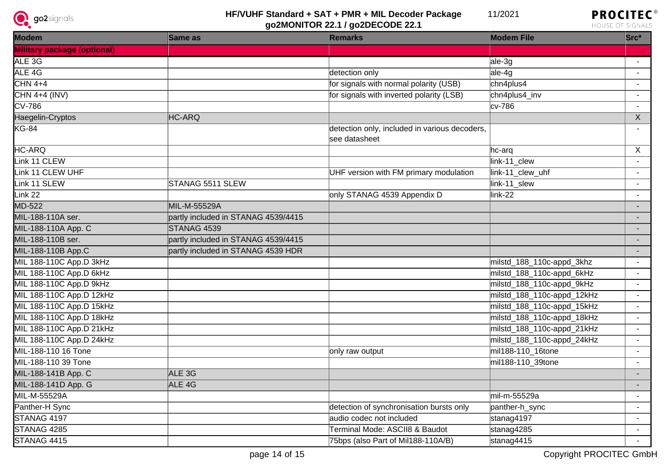



| Modem                              | Same as                             | <b>Remarks</b>                                                 | <b>Modem File</b>          | Src*                     |
|------------------------------------|-------------------------------------|----------------------------------------------------------------|----------------------------|--------------------------|
| <b>Military package (optional)</b> |                                     |                                                                |                            |                          |
| ALE 3G                             |                                     |                                                                | ale-3g                     |                          |
| ALE 4G                             |                                     | detection only                                                 | ale-4g                     |                          |
| $CHN4+4$                           |                                     | for signals with normal polarity (USB)                         | chn4plus4                  |                          |
| $CHN$ 4+4 (INV)                    |                                     | for signals with inverted polarity (LSB)                       | chn4plus4_inv              | $\sim$                   |
| $\overline{\text{CV-786}}$         |                                     |                                                                | cv-786                     |                          |
| Haegelin-Cryptos                   | HC-ARQ                              |                                                                |                            | $\mathsf X$              |
| $KG-84$                            |                                     | detection only, included in various decoders,<br>see datasheet |                            |                          |
| HC-ARQ                             |                                     |                                                                | hc-arq                     | $\sf X$                  |
| Link 11 CLEW                       |                                     |                                                                | link-11_clew               |                          |
| Link 11 CLEW UHF                   |                                     | UHF version with FM primary modulation                         | link-11_clew_uhf           |                          |
| Link 11 SLEW                       | STANAG 5511 SLEW                    |                                                                | link-11_slew               |                          |
| Link 22                            |                                     | only STANAG 4539 Appendix D                                    | link-22                    |                          |
| MD-522                             | MIL-M-55529A                        |                                                                |                            |                          |
| MIL-188-110A ser.                  | partly included in STANAG 4539/4415 |                                                                |                            |                          |
| MIL-188-110A App. C                | STANAG 4539                         |                                                                |                            |                          |
| MIL-188-110B ser.                  | partly included in STANAG 4539/4415 |                                                                |                            |                          |
| MIL-188-110B App.C                 | partly included in STANAG 4539 HDR  |                                                                |                            | $\overline{\phantom{a}}$ |
| MIL 188-110C App.D 3kHz            |                                     |                                                                | milstd_188_110c-appd_3khz  |                          |
| MIL 188-110C App.D 6kHz            |                                     |                                                                | milstd_188_110c-appd_6kHz  |                          |
| MIL 188-110C App.D 9kHz            |                                     |                                                                | milstd_188_110c-appd_9kHz  |                          |
| MIL 188-110C App.D 12kHz           |                                     |                                                                | milstd_188_110c-appd_12kHz |                          |
| MIL 188-110C App.D 15kHz           |                                     |                                                                | milstd_188_110c-appd_15kHz |                          |
| MIL 188-110C App.D 18kHz           |                                     |                                                                | milstd_188_110c-appd_18kHz | $\overline{\phantom{a}}$ |
| MIL 188-110C App.D 21kHz           |                                     |                                                                | milstd_188_110c-appd_21kHz |                          |
| MIL 188-110C App.D 24kHz           |                                     |                                                                | milstd_188_110c-appd_24kHz |                          |
| MIL-188-110 16 Tone                |                                     | only raw output                                                | mil188-110_16tone          | $\blacksquare$           |
| MIL-188-110 39 Tone                |                                     |                                                                | mil188-110_39tone          |                          |
| MIL-188-141B App. C                | ALE 3G                              |                                                                |                            |                          |
| MIL-188-141D App. G                | ALE <sub>4G</sub>                   |                                                                |                            |                          |
| MIL-M-55529A                       |                                     |                                                                | mil-m-55529a               |                          |
| Panther-H Sync                     |                                     | detection of synchronisation bursts only                       | panther-h_sync             |                          |
| STANAG 4197                        |                                     | audio codec not included                                       | stanag4197                 | $\blacksquare$           |
| STANAG 4285                        |                                     | Terminal Mode: ASCII8 & Baudot                                 | stanag4285                 |                          |
| STANAG 4415                        |                                     | 75bps (also Part of Mil188-110A/B)                             | stanag4415                 |                          |